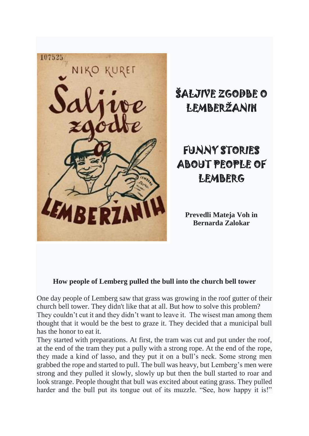

# ŠALJIVE ZGODBE O LEMBERŽANIH

# FUNNY STORIES ABOUT PEOPLE OF **LEMBERG**

**Prevedli Mateja Voh in Bernarda Zalokar**

## **How people of Lemberg pulled the bull into the church bell tower**

One day people of Lemberg saw that grass was growing in the roof gutter of their church bell tower. They didn't like that at all. But how to solve this problem? They couldn't cut it and they didn't want to leave it. The wisest man among them thought that it would be the best to graze it. They decided that a municipal bull has the honor to eat it.

They started with preparations. At first, the tram was cut and put under the roof, at the end of the tram they put a pully with a strong rope. At the end of the rope, they made a kind of lasso, and they put it on a bull's neck. Some strong men grabbed the rope and started to pull. The bull was heavy, but Lemberg's men were strong and they pulled it slowly, slowly up but then the bull started to roar and look strange. People thought that bull was excited about eating grass. They pulled harder and the bull put its tongue out of its muzzle. "See, how happy it is!"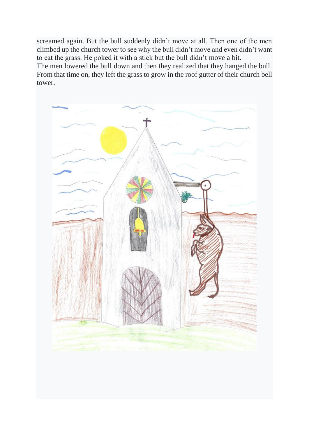screamed again. But the bull suddenly didn't move at all. Then one of the men climbed up the church tower to see why the bull didn't move and even didn't want to eat the grass. He poked it with a stick but the bull didn't move a bit.

The men lowered the bull down and then they realized that they hanged the bull. From that time on, they left the grass to grow in the roof gutter of their church bell tower.

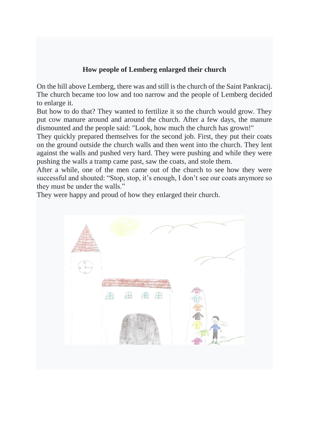#### **How people of Lemberg enlarged their church**

On the hill above Lemberg, there was and still is the church of the Saint Pankracij. The church became too low and too narrow and the people of Lemberg decided to enlarge it.

But how to do that? They wanted to fertilize it so the church would grow. They put cow manure around and around the church. After a few days, the manure dismounted and the people said: "Look, how much the church has grown!"

They quickly prepared themselves for the second job. First, they put their coats on the ground outside the church walls and then went into the church. They lent against the walls and pushed very hard. They were pushing and while they were pushing the walls a tramp came past, saw the coats, and stole them.

After a while, one of the men came out of the church to see how they were successful and shouted: "Stop, stop, it's enough, I don't see our coats anymore so they must be under the walls."

They were happy and proud of how they enlarged their church.

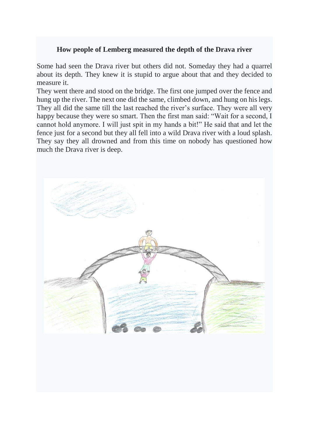#### **How people of Lemberg measured the depth of the Drava river**

Some had seen the Drava river but others did not. Someday they had a quarrel about its depth. They knew it is stupid to argue about that and they decided to measure it.

They went there and stood on the bridge. The first one jumped over the fence and hung up the river. The next one did the same, climbed down, and hung on his legs. They all did the same till the last reached the river's surface. They were all very happy because they were so smart. Then the first man said: "Wait for a second, I cannot hold anymore. I will just spit in my hands a bit!" He said that and let the fence just for a second but they all fell into a wild Drava river with a loud splash. They say they all drowned and from this time on nobody has questioned how much the Drava river is deep.